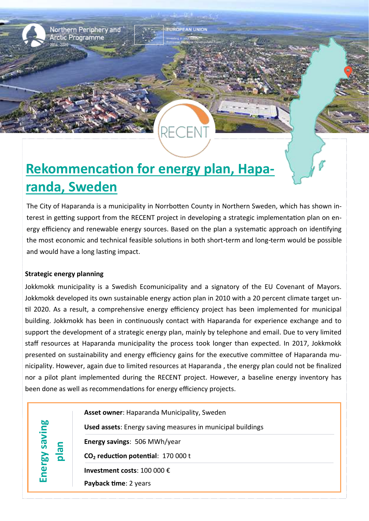

Northern Periphery and **Arctic Programme** 

## **Rekommencation for energy plan, Haparanda, Sweden**

The City of Haparanda is a municipality in Norrbotten County in Northern Sweden, which has shown interest in getting support from the RECENT project in developing a strategic implementation plan on energy efficiency and renewable energy sources. Based on the plan a systematic approach on identifying the most economic and technical feasible solutions in both short-term and long-term would be possible and would have a long lasting impact.

## **Strategic energy planning**

Jokkmokk municipality is a Swedish Ecomunicipality and a signatory of the EU Covenant of Mayors. Jokkmokk developed its own sustainable energy action plan in 2010 with a 20 percent climate target until 2020. As a result, a comprehensive energy efficiency project has been implemented for municipal building. Jokkmokk has been in continuously contact with Haparanda for experience exchange and to support the development of a strategic energy plan, mainly by telephone and email. Due to very limited staff resources at Haparanda municipality the process took longer than expected. In 2017, Jokkmokk presented on sustainability and energy efficiency gains for the executive committee of Haparanda municipality. However, again due to limited resources at Haparanda , the energy plan could not be finalized nor a pilot plant implemented during the RECENT project. However, a baseline energy inventory has been done as well as recommendations for energy efficiency projects.

**Energy saving plan Asset owner**: Haparanda Municipality, Sweden **Used assets**: Energy saving measures in municipal buildings **Energy savings**: 506 MWh/year **CO<sup>2</sup> reduction potential**: 170 000 t **Investment costs**: 100 000 € **Payback time**: 2 years